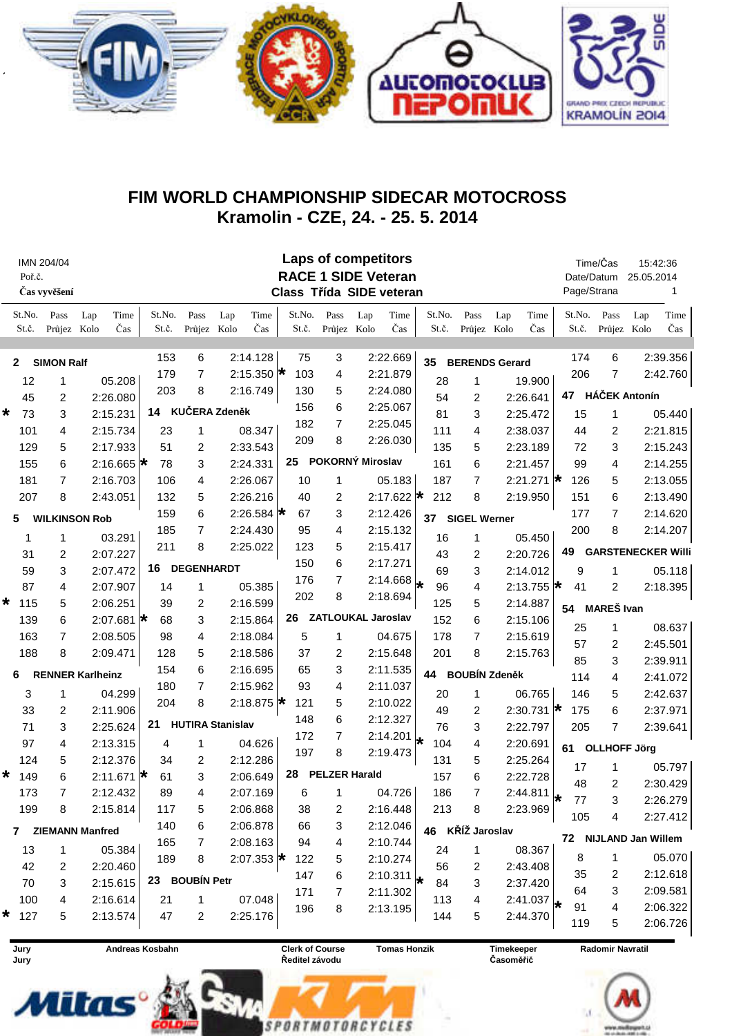

## FIM WORLD CHAMPIONSHIP SIDECAR MOTOCROSS Kramolin - CZE, 24. - 25. 5. 2014

| IMN 204/04<br>Poř.č.<br>Čas vyvěšení |                 |                                |                  |                       |                 | <b>Laps of competitors</b><br><b>RACE 1 SIDE Veteran</b><br>Class Třída SIDE veteran |                     |                         |                                 |    |                 |                      |          |                        |     |                  | Time/Čas<br>Date/Datum<br>Page/Strana |                       | 15:42:36<br>25.05.2014<br>1 |     |                 |                       |                      |                           |
|--------------------------------------|-----------------|--------------------------------|------------------|-----------------------|-----------------|--------------------------------------------------------------------------------------|---------------------|-------------------------|---------------------------------|----|-----------------|----------------------|----------|------------------------|-----|------------------|---------------------------------------|-----------------------|-----------------------------|-----|-----------------|-----------------------|----------------------|---------------------------|
|                                      | St.No.<br>St.č. | $\mathbf{Pass}$<br>Průjez Kolo | Lap              | Time<br>Čas           | St.No.<br>St.č. |                                                                                      | Pass<br>Průjez Kolo | Lap                     | Time<br>Čas                     |    | St.No.<br>St.č. | Pass<br>Průjez Kolo  | Lap      | Time<br>Čas            |     | St.No.<br>St.č.  | Pass<br>Průjez Kolo                   | Lap                   | Time<br>Čas                 |     | St.No.<br>St.č. | Pass<br>Průjez        | Lap<br>Kolo          | Time<br>Čas               |
| $\mathbf{2}$                         |                 | <b>SIMON Ralf</b>              |                  |                       | 153             |                                                                                      | 6                   |                         | 2:14.128                        |    | 75              | 3                    |          | 2:22.669               | 35  |                  |                                       | <b>BERENDS Gerard</b> |                             |     | 174             | 6                     |                      | 2:39.356                  |
|                                      | 12              | 1                              |                  | 05.208                | 179             |                                                                                      | 7                   |                         | 2:15.350 $\star$                |    | 103             | 4                    |          | 2:21.879               |     | 28               | 1                                     |                       | 19.900                      |     | 206             | 7                     |                      | 2:42.760                  |
|                                      | 45              | 2                              |                  | 2:26.080              | 203             |                                                                                      | 8                   |                         | 2:16.749                        |    | 130             | 5                    |          | 2:24.080               |     | 54               | 2                                     |                       | 2:26.641                    |     | 47              |                       | <b>HÁČEK Antonín</b> |                           |
| *                                    | 73              | 3                              |                  | 2:15.231              | 14              |                                                                                      |                     | KUČERA Zdeněk           |                                 |    | 156             | 6                    |          | 2:25.067               |     | 81               | 3                                     |                       | 2:25.472                    |     | 15              | 1                     |                      | 05.440                    |
|                                      | 101             | 4                              |                  | 2:15.734              | 23              |                                                                                      | 1                   |                         | 08.347                          |    | 182             | $\overline{7}$       |          | 2:25.045               |     | 111              | 4                                     |                       | 2:38.037                    |     | 44              | 2                     |                      | 2:21.815                  |
|                                      | 129             | 5                              |                  | 2:17.933              | 51              |                                                                                      | 2                   |                         | 2:33.543                        |    | 209             | 8                    |          | 2:26.030               |     | 135              | 5                                     |                       | 2:23.189                    |     | 72              | 3                     |                      | 2:15.243                  |
|                                      | 155             | 6                              |                  | 2:16.665 $\star$      | 78              |                                                                                      | 3                   |                         | 2:24.331                        | 25 |                 | POKORNÝ Miroslav     |          |                        |     | 161              | 6                                     |                       | 2:21.457                    |     | 99              | 4                     |                      | 2:14.255                  |
|                                      | 181             | 7                              |                  | 2:16.703              | 106             |                                                                                      | 4                   |                         | 2:26.067                        |    | 10              | 1                    |          | 05.183                 |     | 187              | 7                                     |                       | 2:21.271 $\star$            |     | 126             | 5                     |                      | 2:13.055                  |
|                                      | 207             | 8                              |                  | 2:43.051              | 132             |                                                                                      | 5                   |                         | 2:26.216                        |    | 40              | 2                    |          | 2:17.622 $\star$       |     | 212              | 8                                     |                       | 2:19.950                    |     | 151             | 6                     |                      | 2:13.490                  |
| <b>WILKINSON Rob</b><br>5            |                 |                                |                  |                       | 159<br>6        |                                                                                      |                     | 2:26.584 $\star$        |                                 | 67 | 3               |                      | 2:12.426 | 37                     |     |                  | <b>SIGEL Werner</b>                   |                       |                             | 177 | 7               |                       | 2:14.620             |                           |
|                                      | 1               | 1                              |                  | 03.291                | 185             |                                                                                      | 7                   |                         | 2:24.430                        |    | 95              | 4                    |          | 2:15.132               |     | 16               | 1                                     |                       | 05.450                      |     | 200             | 8                     |                      | 2:14.207                  |
|                                      | 31              | 2                              |                  | 2:07.227              | 211             |                                                                                      | 8                   |                         | 2:25.022                        |    | 123             | 5                    |          | 2:15.417               |     | 43               | 2                                     |                       | 2:20.726                    |     | 49              |                       |                      | <b>GARSTENECKER Willi</b> |
|                                      | 59              | 3                              |                  | 2:07.472              | 16              |                                                                                      |                     | <b>DEGENHARDT</b>       |                                 |    | 150             | 6                    |          | 2:17.271               |     | 69               | 3                                     |                       | 2:14.012                    |     | 9               | 1                     |                      | 05.118                    |
|                                      | 87              | 4                              |                  | 2:07.907              | 14              |                                                                                      | 1                   |                         | 05.385                          |    | 176             | $\overline{7}$       |          | $2:14.668 \big  \star$ |     | 96               | 4                                     |                       | 2:13.755 $\star$            |     | 41              | 2                     |                      | 2:18.395                  |
| *                                    | 115             | 5                              |                  | 2:06.251              | 39              |                                                                                      | 2                   |                         | 2:16.599                        |    | 202             | 8                    |          | 2:18.694               |     | 125              | 5                                     |                       | 2:14.887                    |     |                 |                       |                      |                           |
|                                      | 139             | 6                              | 2:07.681 $\star$ |                       | 68              |                                                                                      | 3<br>2:15.864       |                         | 26<br><b>ZATLOUKAL Jaroslav</b> |    |                 |                      |          |                        | 152 |                  | 6<br>2:15.106                         |                       | <b>MAREŠ Ivan</b><br>54     |     |                 |                       |                      |                           |
|                                      | 163             | 7                              |                  | 2:08.505              | 98              |                                                                                      | 4                   |                         | 2:18.084                        |    | 5               | 1                    |          | 04.675                 |     | 178              | 7                                     |                       | 2:15.619                    |     | 25              | 1                     |                      | 08.637                    |
|                                      | 188             | 8                              |                  | 2:09.471              | 128             |                                                                                      | 5                   |                         | 2:18.586                        |    | 37              | 2                    |          | 2:15.648               |     | 201              | 8                                     |                       | 2:15.763                    |     | 57              | 2                     |                      | 2:45.501                  |
|                                      |                 |                                |                  | 154                   |                 | 6                                                                                    |                     | 2:16.695                |                                 | 65 | 3               |                      | 2:11.535 |                        |     |                  |                                       |                       |                             | 85  | 3               |                       | 2:39.911             |                           |
| <b>RENNER Karlheinz</b><br>6         |                 |                                |                  | $\overline{7}$<br>180 |                 |                                                                                      |                     | 2:15.962                |                                 | 93 | 4               |                      | 2:11.037 | 44 BOUBÍN Zdeněk       |     |                  |                                       |                       |                             | 114 | 4               |                       | 2:41.072             |                           |
|                                      | 3               | 1                              |                  | 04.299                | 204             |                                                                                      | 8                   |                         | 2:18.875 $\star$                |    | 121             | 5                    |          | 2:10.022               |     | 20               | 1                                     |                       | 06.765                      |     | 146             | 5                     |                      | 2:42.637                  |
|                                      | 33              | 2                              |                  | 2:11.906              |                 |                                                                                      |                     |                         |                                 |    | 148             | 6                    |          | 2:12.327               |     | 49               | 2                                     |                       | 2:30.731 $\star$            |     | 175             | 6                     |                      | 2:37.971                  |
|                                      | 71              | 3                              |                  | 2:25.624              | 21              |                                                                                      |                     | <b>HUTIRA Stanislav</b> |                                 |    | 172             | $\overline{7}$       |          | 2:14.201               |     | 76               | 3                                     |                       | 2:22.797                    |     | 205             | 7                     |                      | 2:39.641                  |
|                                      | 97              | 4                              |                  | 2:13.315              | 4               |                                                                                      | 1                   |                         | 04.626                          |    | 197             | 8                    |          | 2:19.473               | ★   | 104              | 4                                     |                       | 2:20.691                    |     | 61              | <b>OLLHOFF Jörg</b>   |                      |                           |
|                                      | 124             | 5                              |                  | 2:12.376              | 34              |                                                                                      | 2                   |                         | 2:12.286                        |    |                 |                      |          |                        |     | 131              | 5                                     |                       | 2:25.264                    |     | 17              | 1                     |                      | 05.797                    |
| *                                    | 149             | 6                              |                  | 2:11.671 $\star$      | 61              |                                                                                      | 3                   |                         | 2:06.649                        | 28 |                 | <b>PELZER Harald</b> |          |                        |     | 157              | 6                                     |                       | 2:22.728                    |     | 48              | 2                     |                      | 2:30.429                  |
|                                      | 173             | 7                              |                  | 2:12.432              | 89              |                                                                                      | 4                   |                         | 2:07.169                        |    | 6               | 1                    |          | 04.726                 |     | 186              | 7                                     |                       | 2:44.811                    | l÷  | 77              | 3                     |                      | 2:26.279                  |
|                                      | 199             | 8                              |                  | 2:15.814              | 117             |                                                                                      | 5                   |                         | 2:06.868                        |    | 38              | 2                    |          | 2:16.448               |     | 213              | $\,8\,$                               |                       | 2:23.969                    |     | 105             | 4                     |                      | 2:27.412                  |
| 7 ZIEMANN Manfred                    |                 |                                |                  | 140                   |                 | 6                                                                                    |                     | 2:06.878                |                                 | 66 | 3               |                      | 2:12.046 |                        |     | 46 KŘÍŽ Jaroslav |                                       |                       |                             |     |                 | 72 NIJLAND Jan Willem |                      |                           |
|                                      | 13              | 1                              |                  | 05.384                | 165             |                                                                                      | 7                   |                         | 2:08.163                        |    | 94              | 4                    |          | 2:10.744               |     | 24               | 1                                     |                       | 08.367                      |     |                 |                       |                      |                           |
|                                      | 42              | 2                              |                  | 2:20.460              | 189             |                                                                                      | 8                   |                         | 2:07.353 $\star$                |    | 122             | 5                    |          | 2:10.274               |     | 56               | 2                                     |                       | 2:43.408                    |     | 8               | 1                     |                      | 05.070                    |
|                                      | 70              | 3                              |                  | 2:15.615              |                 | 23 BOUBÍN Petr                                                                       |                     |                         |                                 |    | 147             | 6                    | 2:10.311 |                        | 84  | 3                |                                       | 2:37.420              |                             | 35  | 2               |                       | 2:12.618             |                           |
|                                      | 100             | 4                              |                  | 2:16.614              | 21              |                                                                                      | 1                   |                         | 07.048                          |    | 171             | 7                    |          | 2:11.302               |     | 113              | 4                                     |                       | 2:41.037                    |     | 64              | 3                     |                      | 2:09.581                  |
| *                                    | 127             | 5                              |                  | 2:13.574              | 47              |                                                                                      | 2                   |                         | 2:25.176                        |    | 196             | 8                    |          | 2:13.195               |     | 144              | 5                                     |                       | 2:44.370                    |     | 91              | 4                     |                      | 2:06.322                  |
|                                      |                 |                                |                  |                       |                 |                                                                                      |                     |                         |                                 |    |                 |                      |          |                        |     |                  |                                       |                       |                             |     | 119             | 5                     |                      | 2:06.726                  |



Andreas Kosbahn

**Clerk of Course** Ředitel závodu

SPORTMOTORCYCLES

**Tomas Honzik** 

Timekeeper Časoměřič

Radomir Navratil